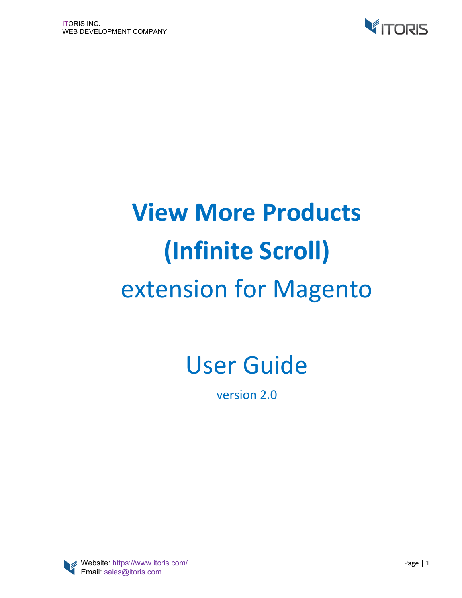

# **View More Products (Infinite Scroll)** extension for Magento

# User Guide

version 2.0

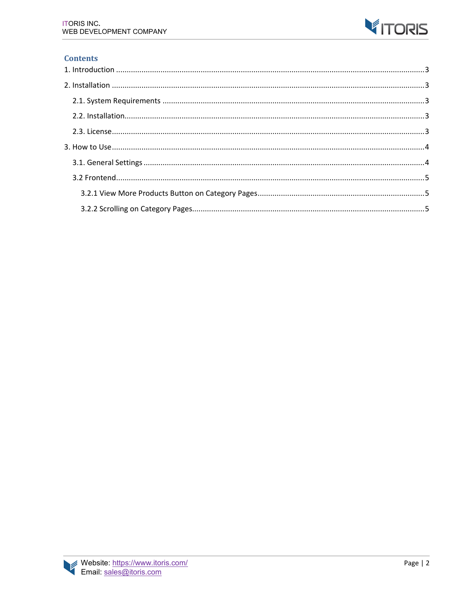

#### **Contents**

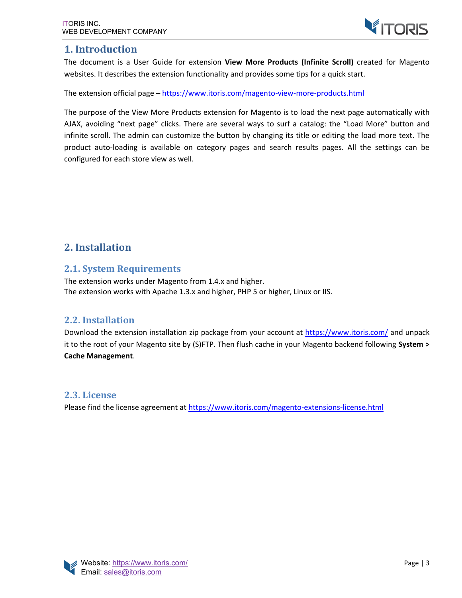## **1. Introduction**

The document is a User Guide for extension **View More Products (Infinite Scroll)** created for Magento websites. It describes the extension functionality and provides some tips for a quick start.

The extension official page – https://www.itoris.com/magento-view-more-products.html

The purpose of the View More Products extension for Magento is to load the next page automatically with AJAX, avoiding "next page" clicks. There are several ways to surf a catalog: the "Load More" button and infinite scroll. The admin can customize the button by changing its title or editing the load more text. The product auto-loading is available on category pages and search results pages. All the settings can be configured for each store view as well.

# **2. Installation**

#### **2.1. System Requirements**

The extension works under Magento from 1.4.x and higher. The extension works with Apache 1.3.x and higher, PHP 5 or higher, Linux or IIS.

#### **2.2. Installation**

Download the extension installation zip package from your account at https://www.itoris.com/ and unpack it to the root of your Magento site by (S)FTP. Then flush cache in your Magento backend following **System > Cache Management**.

#### **2.3. License**

Please find the license agreement at https://www.itoris.com/magento-extensions-license.html

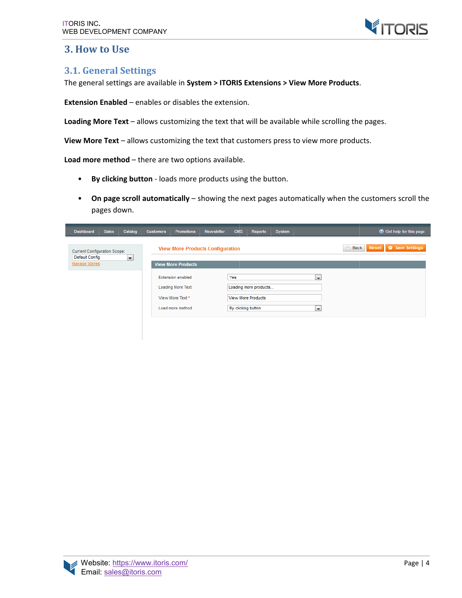

### **3. How to Use**

#### **3.1. General Settings**

The general settings are available in System > ITORIS Extensions > View More Products.

**Extension Enabled** - enables or disables the extension.

Loading More Text - allows customizing the text that will be available while scrolling the pages. or disables the extension.<br>ustomizing the text that will be available while scrolling the<br>comizing the text that customers press to view more product<br>re two options available.

**View More Text** – allows customizing the text that customers press to view more products.

**Load more method** – there are two options available.

- **By clicking button** loads more products using the button.
- **By clicking button** loads more products using the button.<br>• On page scroll automatically showing the next pages automatically when the customers scroll the pages down.

| Catalog<br><b>Dashboard</b><br><b>Sales</b>                                                        | <b>Customers</b><br><b>Promotions</b>                 | <b>Newsletter</b><br><b>CMS</b><br>Reports | C Get help for this page<br>System |
|----------------------------------------------------------------------------------------------------|-------------------------------------------------------|--------------------------------------------|------------------------------------|
| Current Configuration Scope:<br>Default Config<br>$\overline{\phantom{a}}$<br><b>Manage Stores</b> | <b>View More Products Configuration</b>               |                                            | 4 Back<br>Save Settings<br>Reset   |
|                                                                                                    | <b>View More Products</b><br><b>Extension enabled</b> | Yes                                        | $\overline{\phantom{a}}$           |
|                                                                                                    | <b>Loading More Text</b>                              | Loading more products                      |                                    |
|                                                                                                    | View More Text*                                       | View More Products                         |                                    |
|                                                                                                    | Load more method                                      | By clicking button                         | $\overline{\phantom{a}}$           |
|                                                                                                    |                                                       |                                            |                                    |